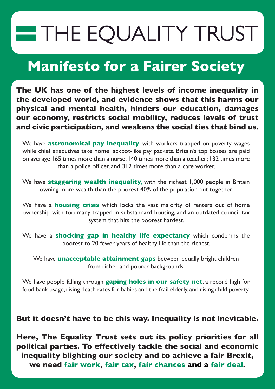# THE EQUALITY TRUST

## **Manifesto for a Fairer Society**

**The UK has one of the highest levels of income inequality in the developed world, and evidence shows that this harms our physical and mental health, hinders our education, damages our economy, restricts social mobility, reduces levels of trust and civic participation, and weakens the social ties that bind us.**

We have **astronomical pay inequality**, with workers trapped on poverty wages while chief executives take home jackpot-like pay packets. Britain's top bosses are paid on average 165 times more than a nurse; 140 times more than a teacher; 132 times more than a police officer, and 312 times more than a care worker.

We have **staggering wealth inequality**, with the richest 1,000 people in Britain owning more wealth than the poorest 40% of the population put together.

We have a **housing crisis** which locks the vast majority of renters out of home ownership, with too many trapped in substandard housing, and an outdated council tax system that hits the poorest hardest.

We have a **shocking gap in healthy life expectancy** which condemns the poorest to 20 fewer years of healthy life than the richest.

We have **unacceptable attainment gaps** between equally bright children from richer and poorer backgrounds.

We have people falling through **gaping holes in our safety net**, a record high for food bank usage, rising death rates for babies and the frail elderly, and rising child poverty.

#### **But it doesn't have to be this way. Inequality is not inevitable.**

**Here, The Equality Trust sets out its policy priorities for all political parties. To effectively tackle the social and economic inequality blighting our society and to achieve a fair Brexit, we need fair work, fair tax, fair chances and a fair deal.**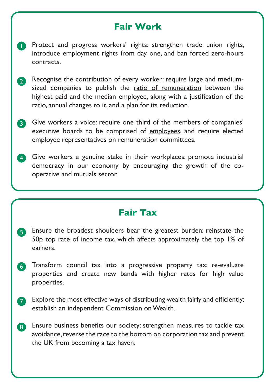#### **Fair Work**

- **P** Protect and progress workers' rights: strengthen trade union rights, introduce employment rights from day one, and ban forced zero-hours contracts.
- 2 Recognise the contribution of every worker: require large and mediumsized companies to publish the [ratio of remuneration](https://www.equalitytrust.org.uk/sites/default/files/Pay%20Tracker%20%28March%202017%29_1.pdf) between the highest paid and the median employee, along with a justification of the ratio, annual changes to it, and a plan for its reduction.
- **3** Give workers a voice: require one third of the members of companies' executive boards to be comprised of [employees,](https://www.equalitytrust.org.uk/sites/default/files/The%20Equality%20Trust%20response%20to%20Corporate%20Governance%20green%20paper.pdf) and require elected employee representatives on remuneration committees.
- 4 Give workers a genuine stake in their workplaces: promote industrial democracy in our economy by encouraging the growth of the cooperative and mutuals sector.

#### **Fair Tax**

- 5 Ensure the broadest shoulders bear the greatest burden: reinstate the [50p top rate](https://www.equalitytrust.org.uk/course-correction-pre-distributive-case-50p-top-income-tax-rate) of income tax, which affects approximately the top 1% of earners.
- 6 Transform council tax into a progressive property tax: re-evaluate properties and create new bands with higher rates for high value properties.
- Explore the most effective ways of distributing wealth fairly and efficiently: establish an independent Commission on Wealth. 7
- 8 Ensure business benefits our society: strengthen measures to tackle tax avoidance, reverse the race to the bottom on corporation tax and prevent the UK from becoming a tax haven.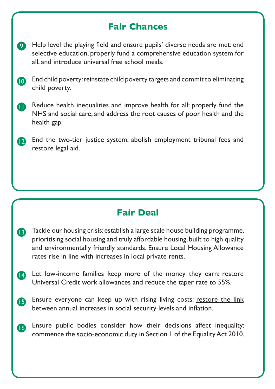#### **Fair Chances**

- Help level the playing field and ensure pupils' diverse needs are met: end selective education, properly fund a comprehensive education system for all, and introduce universal free school meals. 9
- End child poverty: [reinstate child poverty targets](http://www.endchildpoverty.org.uk/child-poverty-targets-for-reduction-bill-2017/) and commit to eliminating child poverty. 10
- **n** Reduce health inequalities and improve health for all: properly fund the NHS and social care, and address the root causes of poor health and the health gap.
- **D** End the two-tier justice system: abolish employment tribunal fees and restore legal aid.

#### **Fair Deal**

- **B** Tackle our housing crisis: establish a large scale house building programme, prioritising social housing and truly affordable housing, built to high quality and environmentally friendly standards. Ensure Local Housing Allowance rates rise in line with increases in local private rents.
- 14 Let low-income families keep more of the money they earn: restore Universal Credit work allowances and [reduce the taper rate](https://www.equalitytrust.org.uk/aspiration-tax-how-our-social-security-system-holds-back-low-paid-workers) to 55%.
- Ensure everyone can keep up with rising living costs: [restore the link](http://www.endchildpoverty.org.uk/feeling-the-pinch-summary-report/) between annual increases in social security levels and inflation.  $\mathbf{B}$
- Ensure public bodies consider how their decisions affect inequality: commence the [socio-economic duty](https://1forequality.com/) in Section 1 of the Equality Act 2010. **16**